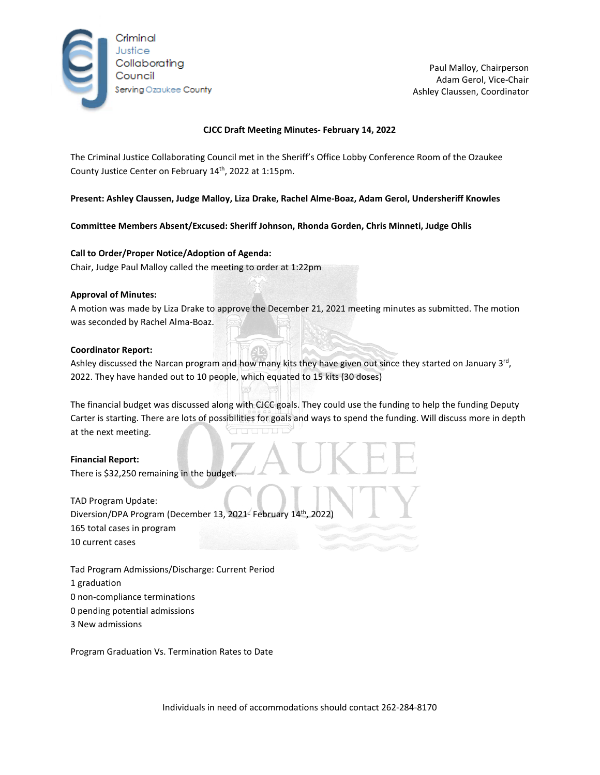

Paul Malloy, Chairperson Adam Gerol, Vice-Chair Ashley Claussen, Coordinator

# **CJCC Draft Meeting Minutes- February 14, 2022**

The Criminal Justice Collaborating Council met in the Sheriff's Office Lobby Conference Room of the Ozaukee County Justice Center on February 14<sup>th</sup>, 2022 at 1:15pm.

**Present: Ashley Claussen, Judge Malloy, Liza Drake, Rachel Alme-Boaz, Adam Gerol, Undersheriff Knowles** 

**Committee Members Absent/Excused: Sheriff Johnson, Rhonda Gorden, Chris Minneti, Judge Ohlis**

### **Call to Order/Proper Notice/Adoption of Agenda:**

Chair, Judge Paul Malloy called the meeting to order at 1:22pm

#### **Approval of Minutes:**

A motion was made by Liza Drake to approve the December 21, 2021 meeting minutes as submitted. The motion was seconded by Rachel Alma-Boaz.

#### **Coordinator Report:**

Ashley discussed the Narcan program and how many kits they have given out since they started on January  $3^{rd}$ , 2022. They have handed out to 10 people, which equated to 15 kits (30 doses)

The financial budget was discussed along with CJCC goals. They could use the funding to help the funding Deputy Carter is starting. There are lots of possibilities for goals and ways to spend the funding. Will discuss more in depth at the next meeting.

#### **Financial Report:**

There is \$32,250 remaining in the budget.

TAD Program Update: Diversion/DPA Program (December 13, 2021- February 14<sup>th</sup>, 2022) 165 total cases in program 10 current cases

Tad Program Admissions/Discharge: Current Period 1 graduation 0 non-compliance terminations 0 pending potential admissions

3 New admissions

Program Graduation Vs. Termination Rates to Date